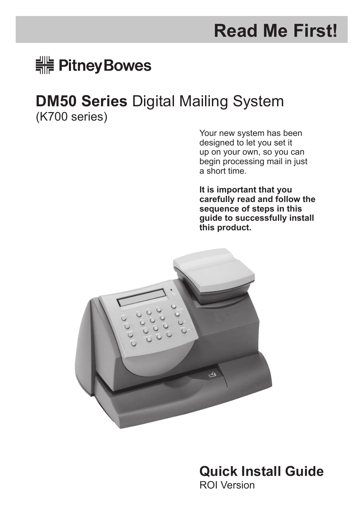# **Read Me First!**

# <del>:</del> Pitney Bowes

# **DM50 Series** Digital Mailing System

(K700 series)

Your new system has been designed to let you set it up on your own, so you can begin processing mail in just a short time.

**It is important that you carefully read and follow the sequence of steps in this guide to successfully install this product.**



**Quick Install Guide** ROI Version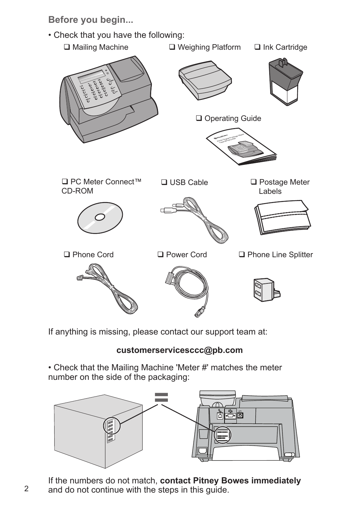**Before you begin...**

• Check that you have the following:



If anything is missing, please contact our support team at:

### **customerservicesccc@pb.com**

• Check that the Mailing Machine 'Meter #' matches the meter number on the side of the packaging:



If the numbers do not match, **contact Pitney Bowes immediately** and do not continue with the steps in this guide.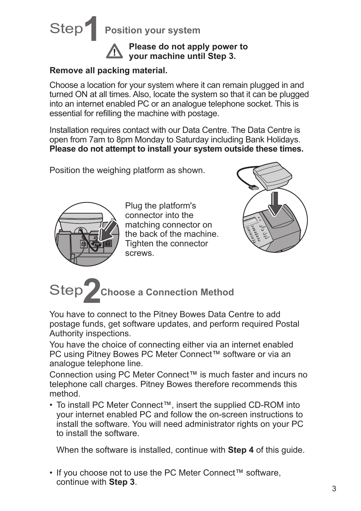

**Please do not apply power to your machine until Step 3.**

#### **Remove all packing material.**

Choose a location for your system where it can remain plugged in and turned ON at all times. Also, locate the system so that it can be plugged into an internet enabled PC or an analogue telephone socket. This is essential for refilling the machine with postage.

Installation requires contact with our Data Centre. The Data Centre is open from 7am to 8pm Monday to Saturday including Bank Holidays. **Please do not attempt to install your system outside these times.**

Position the weighing platform as shown.



Plug the platform's connector into the matching connector on the back of the machine. Tighten the connector screws.





You have to connect to the Pitney Bowes Data Centre to add postage funds, get software updates, and perform required Postal Authority inspections.

You have the choice of connecting either via an internet enabled PC using Pitney Bowes PC Meter Connect™ software or via an analogue telephone line.

Connection using PC Meter Connect™ is much faster and incurs no telephone call charges. Pitney Bowes therefore recommends this method.

• To install PC Meter Connect™, insert the supplied CD-ROM into your internet enabled PC and follow the on-screen instructions to install the software. You will need administrator rights on your PC to install the software.

When the software is installed, continue with **Step 4** of this guide.

• If you choose not to use the PC Meter Connect™ software, continue with **Step 3**.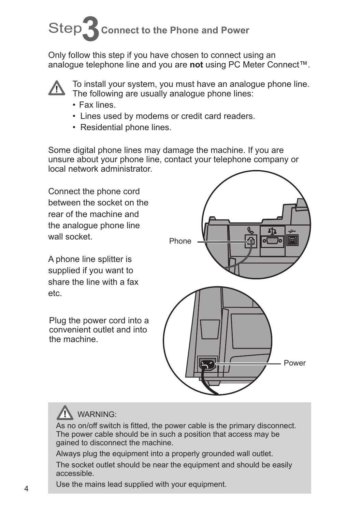# Step **3Connect to the Phone and Power**

Only follow this step if you have chosen to connect using an analogue telephone line and you are **not** using PC Meter Connect™.



To install your system, you must have an analogue phone line. The following are usually analogue phone lines:

- Fax lines.
- Lines used by modems or credit card readers.
- Residential phone lines.

Some digital phone lines may damage the machine. If you are unsure about your phone line, contact your telephone company or local network administrator.

Connect the phone cord between the socket on the rear of the machine and the analogue phone line wall socket.

A phone line splitter is supplied if you want to share the line with a fax etc.

Plug the power cord into a convenient outlet and into the machine.



## WARNING:

As no on/off switch is fitted, the power cable is the primary disconnect. The power cable should be in such a position that access may be gained to disconnect the machine.

Always plug the equipment into a properly grounded wall outlet.

The socket outlet should be near the equipment and should be easily accessible.

Use the mains lead supplied with your equipment.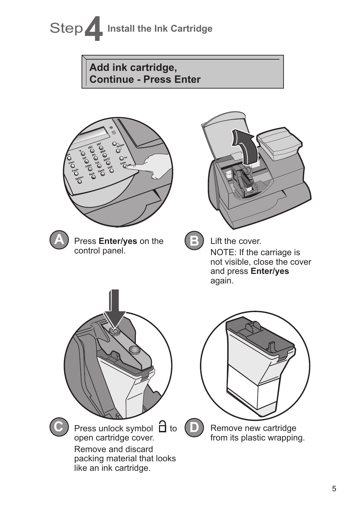# Step 1**Install the Ink Cartridge Add ink cartridge, Continue - Press EnterPRICES A** Press **Enter/yes** on the **B** Lift the cover. control panel. NOTE: If the carriage is not visible, close the cover and press **Enter/yes**  again.

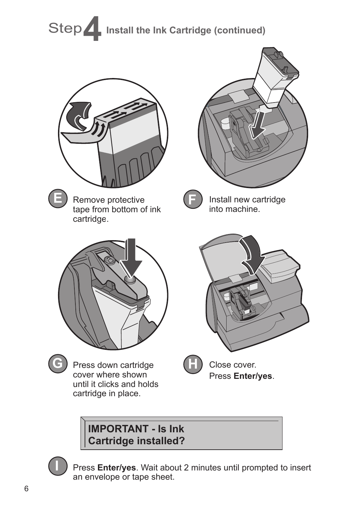

## **IMPORTANT - Is Ink Cartridge installed?**

Press **Enter/yes**. Wait about 2 minutes until prompted to insert an envelope or tape sheet.

**I**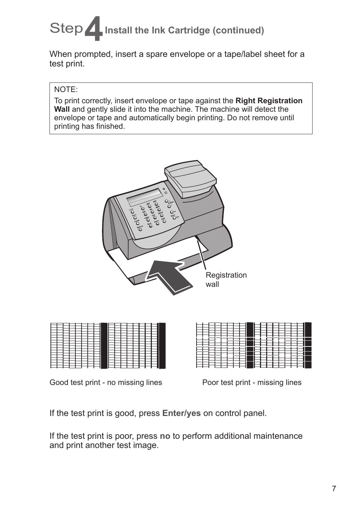# Step **4** Install the Ink Cartridge (continued)

When prompted, insert a spare envelope or a tape/label sheet for a test print.

#### NOTE:

To print correctly, insert envelope or tape against the **Right Registration Wall** and gently slide it into the machine. The machine will detect the envelope or tape and automatically begin printing. Do not remove until printing has finished.



Good test print - no missing lines Poor test print - missing lines

If the test print is good, press **Enter/yes** on control panel.

If the test print is poor, press **no** to perform additional maintenance and print another test image.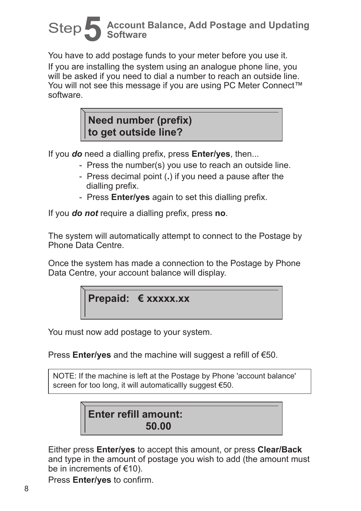# Step **5 Account Balance, Add Postage and Updating Software**

You have to add postage funds to your meter before you use it. If you are installing the system using an analogue phone line, you will be asked if you need to dial a number to reach an outside line. You will not see this message if you are using PC Meter Connect™ software.

## **Need number (prefix) to get outside line?**

If you *do* need a dialling prefix, press **Enter/yes**, then...

- Press the number(s) you use to reach an outside line.
- Press decimal point (**.**) if you need a pause after the dialling prefix.
- Press **Enter/yes** again to set this dialling prefix.

If you *do not* require a dialling prefix, press **no**.

The system will automatically attempt to connect to the Postage by Phone Data Centre.

Once the system has made a connection to the Postage by Phone Data Centre, your account balance will display.

## **Prepaid: € xxxxx.xx**

You must now add postage to your system.

Press **Enter/yes** and the machine will suggest a refill of €50.

NOTE: If the machine is left at the Postage by Phone 'account balance' screen for too long, it will automaticallly suggest €50.

## **Enter refill amount: 50.00**

Either press **Enter/yes** to accept this amount, or press **Clear/Back** and type in the amount of postage you wish to add (the amount must be in increments of €10).

Press **Enter/yes** to confirm.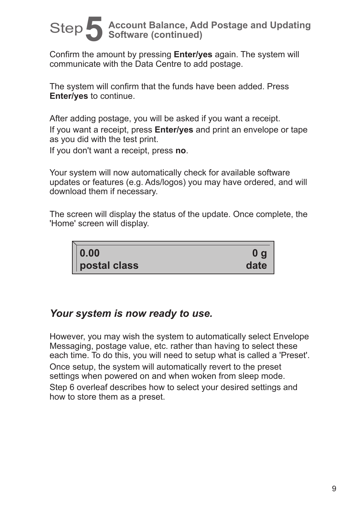# Step **5 Account Balance, Add Postage and Updating Software (continued)**

Confirm the amount by pressing **Enter/yes** again. The system will communicate with the Data Centre to add postage.

The system will confirm that the funds have been added. Press **Enter/yes** to continue.

After adding postage, you will be asked if you want a receipt. If you want a receipt, press **Enter/yes** and print an envelope or tape as you did with the test print.

If you don't want a receipt, press **no**.

Your system will now automatically check for available software updates or features (e.g. Ads/logos) you may have ordered, and will download them if necessary.

The screen will display the status of the update. Once complete, the 'Home' screen will display.

| $\vert\vert$ 0.00 | $\mathbf{0}$ g |
|-------------------|----------------|
| postal class      | date           |

## *Your system is now ready to use.*

However, you may wish the system to automatically select Envelope Messaging, postage value, etc. rather than having to select these each time. To do this, you will need to setup what is called a 'Preset'. Once setup, the system will automatically revert to the preset settings when powered on and when woken from sleep mode. Step 6 overleaf describes how to select your desired settings and how to store them as a preset.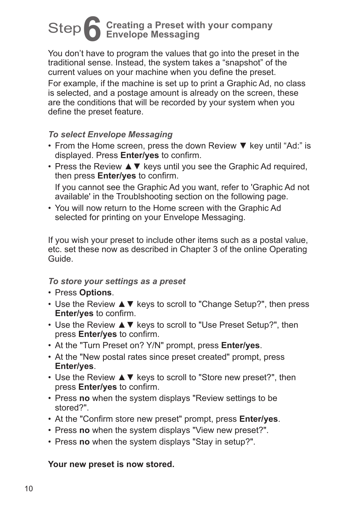# Step **6 Creating a Preset with your company Envelope Messaging**

You don't have to program the values that go into the preset in the traditional sense. Instead, the system takes a "snapshot" of the current values on your machine when you define the preset. For example, if the machine is set up to print a Graphic Ad, no class is selected, and a postage amount is already on the screen, these are the conditions that will be recorded by your system when you define the preset feature.

#### *To select Envelope Messaging*

- From the Home screen, press the down Review ▼ key until "Ad:" is displayed. Press **Enter/yes** to confirm.
- Press the Review **A ▼** keys until you see the Graphic Ad required, then press **Enter/yes** to confirm. If you cannot see the Graphic Ad you want, refer to 'Graphic Ad not available' in the Troublshooting section on the following page.
- You will now return to the Home screen with the Graphic Ad selected for printing on your Envelope Messaging.

If you wish your preset to include other items such as a postal value, etc. set these now as described in Chapter 3 of the online Operating Guide.

#### *To store your settings as a preset*

- Press **Options**.
- Use the Review ▲▼ keys to scroll to "Change Setup?", then press **Enter/yes** to confirm.
- Use the Review ▲▼ keys to scroll to "Use Preset Setup?", then press **Enter/yes** to confirm.
- At the "Turn Preset on? Y/N" prompt, press **Enter/yes**.
- At the "New postal rates since preset created" prompt, press **Enter/yes**.
- Use the Review ▲▼ keys to scroll to "Store new preset?", then press **Enter/yes** to confirm.
- Press **no** when the system displays "Review settings to be stored?".
- At the "Confirm store new preset" prompt, press **Enter/yes**.
- Press **no** when the system displays "View new preset?".
- Press **no** when the system displays "Stay in setup?".

#### **Your new preset is now stored.**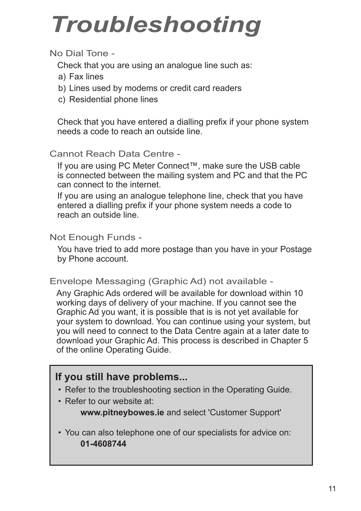# *Troubleshooting*

### No Dial Tone -

Check that you are using an analogue line such as:

- a) Fax lines
- b) Lines used by modems or credit card readers
- c) Residential phone lines

Check that you have entered a dialling prefix if your phone system needs a code to reach an outside line.

### Cannot Reach Data Centre -

If you are using PC Meter Connect™, make sure the USB cable is connected between the mailing system and PC and that the PC can connect to the internet.

If you are using an analogue telephone line, check that you have entered a dialling prefix if your phone system needs a code to reach an outside line.

#### Not Enough Funds -

You have tried to add more postage than you have in your Postage by Phone account.

#### Envelope Messaging (Graphic Ad) not available -

Any Graphic Ads ordered will be available for download within 10 working days of delivery of your machine. If you cannot see the Graphic Ad you want, it is possible that is is not yet available for your system to download. You can continue using your system, but you will need to connect to the Data Centre again at a later date to download your Graphic Ad. This process is described in Chapter 5 of the online Operating Guide.

### **If you still have problems...**

- Refer to the troubleshooting section in the Operating Guide.
- Refer to our website at:

**www.pitneybowes.ie** and select 'Customer Support'

• You can also telephone one of our specialists for advice on: **01-4608744**